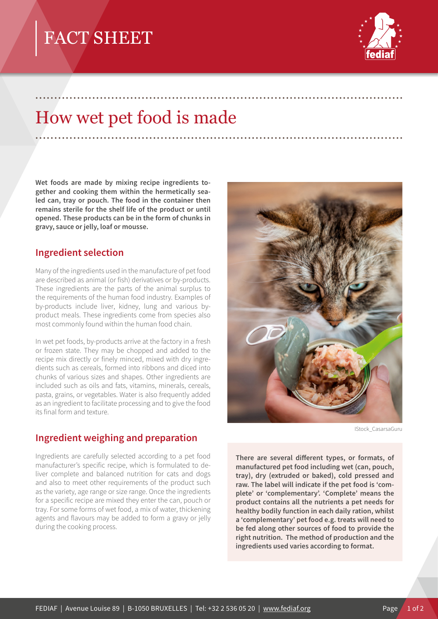# FACT SHEET



## How wet pet food is made

.................................................................................................

.................................................................................................

**Wet foods are made by mixing recipe ingredients together and cooking them within the hermetically sealed can, tray or pouch. The food in the container then remains sterile for the shelf life of the product or until opened. These products can be in the form of chunks in gravy, sauce or jelly, loaf or mousse.**

#### **Ingredient selection**

Many of the ingredients used in the manufacture of pet food are described as animal (or fish) derivatives or by-products. These ingredients are the parts of the animal surplus to the requirements of the human food industry. Examples of by-products include liver, kidney, lung and various byproduct meals. These ingredients come from species also most commonly found within the human food chain.

In wet pet foods, by-products arrive at the factory in a fresh or frozen state. They may be chopped and added to the recipe mix directly or finely minced, mixed with dry ingredients such as cereals, formed into ribbons and diced into chunks of various sizes and shapes. Other ingredients are included such as oils and fats, vitamins, minerals, cereals, pasta, grains, or vegetables. Water is also frequently added as an ingredient to facilitate processing and to give the food its final form and texture.

### **Ingredient weighing and preparation**

Ingredients are carefully selected according to a pet food manufacturer's specific recipe, which is formulated to deliver complete and balanced nutrition for cats and dogs and also to meet other requirements of the product such as the variety, age range or size range. Once the ingredients for a specific recipe are mixed they enter the can, pouch or tray. For some forms of wet food, a mix of water, thickening agents and flavours may be added to form a gravy or jelly during the cooking process.



IStock\_CasarsaGuru

**There are several different types, or formats, of manufactured pet food including wet (can, pouch, tray), dry (extruded or baked), cold pressed and raw. The label will indicate if the pet food is 'complete' or 'complementary'. 'Complete' means the product contains all the nutrients a pet needs for healthy bodily function in each daily ration, whilst a 'complementary' pet food e.g. treats will need to be fed along other sources of food to provide the right nutrition. The method of production and the ingredients used varies according to format.**